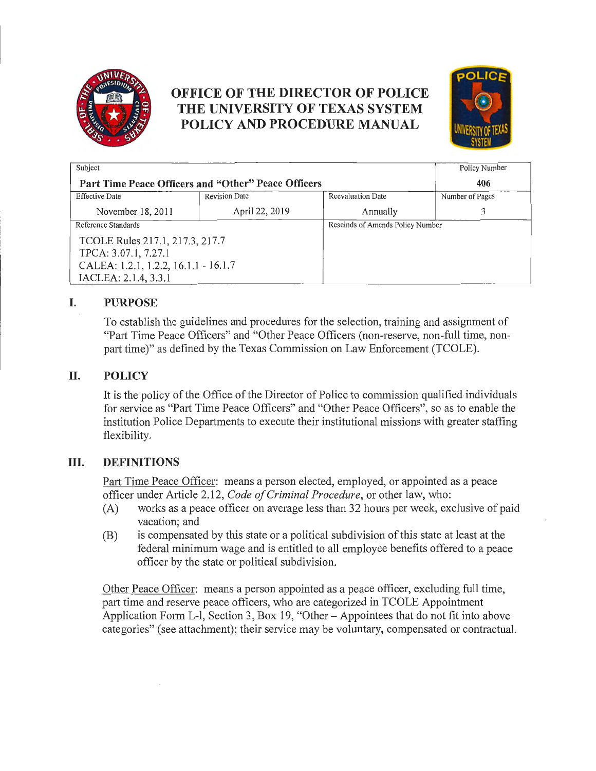

# **OFFICE OF THE DIRECTOR OF POLICE THE UNIVERSITY OF TEXAS SYSTEM POLICY AND PROCEDURE MANUAL**



| Subject                                             |                      |                                  | Policy Number   |
|-----------------------------------------------------|----------------------|----------------------------------|-----------------|
| Part Time Peace Officers and "Other" Peace Officers |                      |                                  | 406             |
| <b>Effective Date</b>                               | <b>Revision Date</b> | <b>Reevaluation Date</b>         | Number of Pages |
| November 18, 2011                                   | April 22, 2019       | Annually                         |                 |
| Reference Standards                                 |                      | Rescinds of Amends Policy Number |                 |
| TCOLE Rules 217.1, 217.3, 217.7                     |                      |                                  |                 |
| TPCA: 3.07.1, 7.27.1                                |                      |                                  |                 |
| CALEA: 1.2.1, 1.2.2, 16.1.1 - 16.1.7                |                      |                                  |                 |
| IACLEA: 2.1.4, 3.3.1                                |                      |                                  |                 |

## **I. PURPOSE**

To establish the guidelines and procedures for the selection, training and assignment of "Pait Time Peace Officers" and "Other Peace Officers (non-reserve, non-full time, nonpart time)" as defined by the Texas Commission on Law Enforcement (TCOLE).

## **II. POLICY**

It is the policy of the Office of the Director of Police to commission qualified individuals for service as "Part Time Peace Officers" and "Other Peace Officers", so as to enable the institution Police Departments to execute their institutional missions with greater staffing flexibility.

## **III. DEFINITIONS**

Part Time Peace Officer: means a person elected, employed, or appointed as a peace officer under Article 2.12, *Code of Criminal Procedure*, or other law, who:

- (A) works as a peace officer on average less than 32 hours per week, exclusive of paid vacation; and
- (B) is compensated by this state or a political subdivision of this state at least at the federal minimum wage and is entitled to all employee benefits offered to a peace officer by the state or political subdivision.

Other Peace Officer: means a person appointed as a peace officer, excluding full time, part time and reserve peace officers, who are categorized in TCOLE Appointment Application Form L-1, Section 3, Box 19, "Other  $-$  Appointees that do not fit into above categories" (see attachment); their service may be voluntary, compensated or contractual.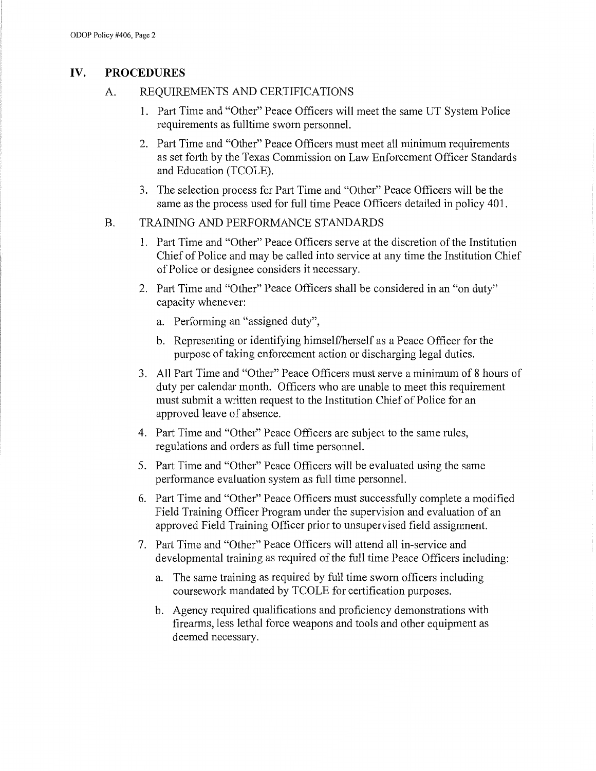#### **IV. PROCEDURES**

- A. REQUIREMENTS AND CERTIFICATIONS
	- 1. Part Time and "Other" Peace Officers will meet the same UT System Police requirements as fulltime sworn personnel.
	- 2. Part Time and "Other" Peace Officers must meet all minimum requirements as set forth by the Texas Commission on Law Enforcement Officer Standards and Education (TCOLE).
	- 3. The selection process for Part Time and "Other" Peace Officers will be the same as the process used for full time Peace Officers detailed in policy 401.

## B. TRAINING AND PERFORMANCE STANDARDS

- 1. Part Time and "Other" Peace Officers serve at the discretion of the Institution Chief of Police and may be called into service at any time the Institution Chief of Police or designee considers it necessary.
- 2. Part Time and "Other" Peace Officers shall be considered in an "on duty" capacity whenever:
	- a. Performing an "assigned duty",
	- b. Representing or identifying himself/herself as a Peace Officer for the purpose of taking enforcement action or discharging legal duties.
- 3. All Pmi Time and "Other" Peace Officers must serve a minimum of 8 hours of duty per calendar month. Officers who are unable to meet this requirement must submit a written request to the Institution Chief of Police for an approved leave of absence.
- 4. Part Time and "Other" Peace Officers are subject to the same rules, regulations and orders as full time personnel.
- 5. Part Time and "Other" Peace Officers will be evaluated using the same performance evaluation system as full time personnel.
- 6. Part Time and "Other" Peace Officers must successfully complete a modified Field Training Officer Program under the supervision and evaluation of an approved Field Training Officer prior to unsupervised field assignment.
- 7. Part Time and "Other" Peace Officers will attend all in-service and developmental training as required of the full time Peace Officers including:
	- a. The same training as required by full time sworn officers including coursework mandated by TCOLE for certification purposes.
	- b. Agency required qualifications and proficiency demonstrations with firearms, less lethal force weapons and tools and other equipment as deemed necessary.